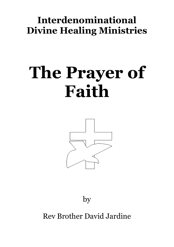## **Interdenominational Divine Healing Ministries**

# **The Prayer of Faith**



by

Rev Brother David Jardine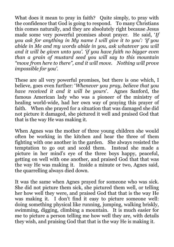What does it mean to pray in faith? Quite simply, to pray with the confidence that God is going to respond. To many Christians this comes naturally, and they are absolutely right because Jesus made some very powerful promises about prayer. He said, '*If you ask for anything in My name I will give it to you': 'if you abide in Me and my words abide in you, ask whatever you will and it will be given unto you'. 'if you have faith no bigger even than a grain of mustard seed you will say to this mountain "move from here to there", and it will move. Nothing will prove impossible for you'*.

These are all very powerful promises, but there is one which, I believe, goes even further: '*Whenever you pray, believe that you have received it and it will be yours*'. Agnes Sanford, the famous American lady who was a pioneer of the ministry of healing world-wide, had her own way of praying this prayer of faith. When she prayed for a situation that was damaged she did not picture it damaged, she pictured it well and praised God that that is the way He was making it.

When Agnes was the mother of three young children she would often be working in the kitchen and hear the three of them fighting with one another in the garden. She always resisted the temptation to go out and scold them. Instead she made a picture in her mind's eye of the three boys happy, peaceful, getting on well with one another, and praised God that that was the way He was making it. Inside a minute or two, Agnes said, the quarrelling always died down.

It was the same when Agnes prayed for someone who was sick. She did not picture them sick, she pictured them well, or telling her how well they were, and praised God that that is the way He was making it. I don't find it easy to picture someone well: doing something physical like running, jumping, walking briskly, swimming, digging, climbing a mountain. It is much easier for me to picture a person telling me how well they are, with details they wish, and praising God that that is the way He is making it.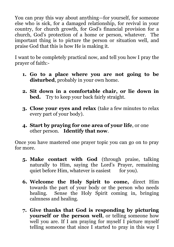You can pray this way about anything—for yourself, for someone else who is sick, for a damaged relationship, for revival in your country, for church growth, for God's financial provision for a church, God's protection of a home or person, whatever. The important thing is to picture the person or situation well, and praise God that this is how He is making it.

I want to be completely practical now, and tell you how I pray the prayer of faith:-

- **1. Go to a place where you are not going to be disturbed**, probably in your own home.
- **2. Sit down in a comfortable chair, or lie down in bed.** Try to keep your back fairly straight.
- **3. Close your eyes and relax** (take a few minutes to relax every part of your body).
- **4. Start by praying for one area of your life**, or one other person. **Identify that now**.

Once you have mastered one prayer topic you can go on to pray for more.

- **5. Make contact with God** (through praise, talking naturally to Him, saying the Lord's Prayer, remaining quiet before Him, whatever is easiest for you).
- **6. Welcome the Holy Spirit to come,** direct Him towards the part of your body or the person who needs healing. Sense the Holy Spirit coming in, bringing calmness and healing.
- **7. Give thanks that God is responding by picturing yourself or the person well**, or telling someone how well you are. If I am praying for myself I picture myself telling someone that since I started to pray in this way I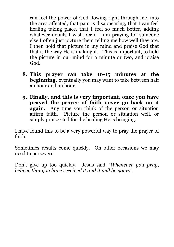can feel the power of God flowing right through me, into the area affected, that pain is disappearing, that I can feel healing taking place, that I feel so much better, adding whatever details I wish. Or if I am praying for someone else I often just picture them telling me how well they are. I then hold that picture in my mind and praise God that that is the way He is making it. This is important, to hold the picture in our mind for a minute or two, and praise God.

- **8. This prayer can take 10-15 minutes at the beginning,** eventually you may want to take between half an hour and an hour.
- **9. Finally, and this is very important, once you have prayed the prayer of faith never go back on it again.** Any time you think of the person or situation affirm faith. Picture the person or situation well, or simply praise God for the healing He is bringing.

I have found this to be a very powerful way to pray the prayer of faith.

Sometimes results come quickly. On other occasions we may need to persevere.

Don't give up too quickly. Jesus said, '*Whenever you pray, believe that you have received it and it will be yours*'.